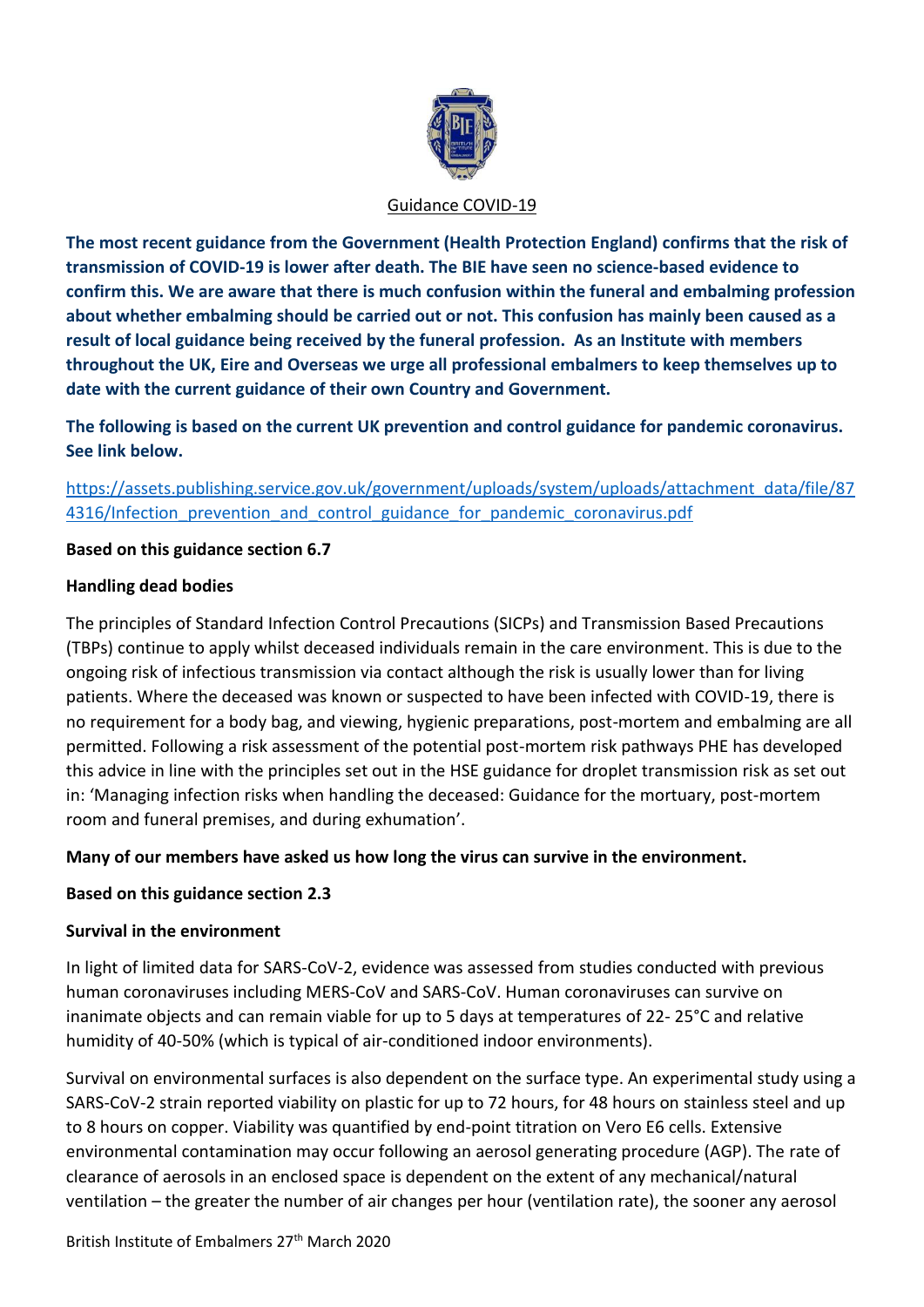

#### Guidance COVID-19

**The most recent guidance from the Government (Health Protection England) confirms that the risk of transmission of COVID-19 is lower after death. The BIE have seen no science-based evidence to confirm this. We are aware that there is much confusion within the funeral and embalming profession about whether embalming should be carried out or not. This confusion has mainly been caused as a result of local guidance being received by the funeral profession. As an Institute with members throughout the UK, Eire and Overseas we urge all professional embalmers to keep themselves up to date with the current guidance of their own Country and Government.**

**The following is based on the current UK prevention and control guidance for pandemic coronavirus. See link below.**

[https://assets.publishing.service.gov.uk/government/uploads/system/uploads/attachment\\_data/file/87](https://assets.publishing.service.gov.uk/government/uploads/system/uploads/attachment_data/file/874316/Infection_prevention_and_control_guidance_for_pandemic_coronavirus.pdf) 4316/Infection prevention and control guidance for pandemic coronavirus.pdf

## **Based on this guidance section 6.7**

### **Handling dead bodies**

The principles of Standard Infection Control Precautions (SICPs) and Transmission Based Precautions (TBPs) continue to apply whilst deceased individuals remain in the care environment. This is due to the ongoing risk of infectious transmission via contact although the risk is usually lower than for living patients. Where the deceased was known or suspected to have been infected with COVID-19, there is no requirement for a body bag, and viewing, hygienic preparations, post-mortem and embalming are all permitted. Following a risk assessment of the potential post-mortem risk pathways PHE has developed this advice in line with the principles set out in the HSE guidance for droplet transmission risk as set out in: 'Managing infection risks when handling the deceased: Guidance for the mortuary, post-mortem room and funeral premises, and during exhumation'.

## **Many of our members have asked us how long the virus can survive in the environment.**

## **Based on this guidance section 2.3**

## **Survival in the environment**

In light of limited data for SARS-CoV-2, evidence was assessed from studies conducted with previous human coronaviruses including MERS-CoV and SARS-CoV. Human coronaviruses can survive on inanimate objects and can remain viable for up to 5 days at temperatures of 22- 25°C and relative humidity of 40-50% (which is typical of air-conditioned indoor environments).

Survival on environmental surfaces is also dependent on the surface type. An experimental study using a SARS-CoV-2 strain reported viability on plastic for up to 72 hours, for 48 hours on stainless steel and up to 8 hours on copper. Viability was quantified by end-point titration on Vero E6 cells. Extensive environmental contamination may occur following an aerosol generating procedure (AGP). The rate of clearance of aerosols in an enclosed space is dependent on the extent of any mechanical/natural ventilation – the greater the number of air changes per hour (ventilation rate), the sooner any aerosol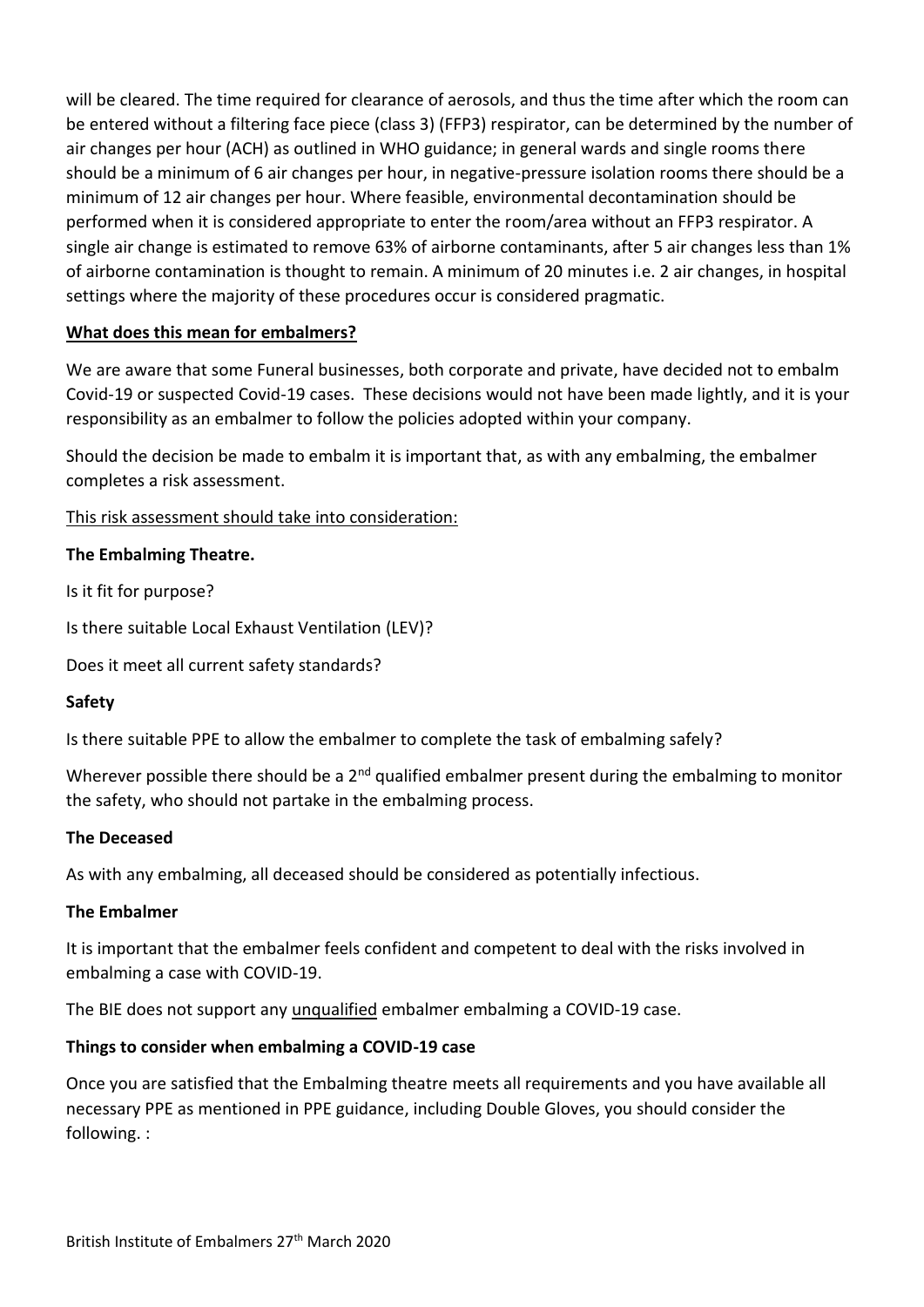will be cleared. The time required for clearance of aerosols, and thus the time after which the room can be entered without a filtering face piece (class 3) (FFP3) respirator, can be determined by the number of air changes per hour (ACH) as outlined in WHO guidance; in general wards and single rooms there should be a minimum of 6 air changes per hour, in negative-pressure isolation rooms there should be a minimum of 12 air changes per hour. Where feasible, environmental decontamination should be performed when it is considered appropriate to enter the room/area without an FFP3 respirator. A single air change is estimated to remove 63% of airborne contaminants, after 5 air changes less than 1% of airborne contamination is thought to remain. A minimum of 20 minutes i.e. 2 air changes, in hospital settings where the majority of these procedures occur is considered pragmatic.

# **What does this mean for embalmers?**

We are aware that some Funeral businesses, both corporate and private, have decided not to embalm Covid-19 or suspected Covid-19 cases. These decisions would not have been made lightly, and it is your responsibility as an embalmer to follow the policies adopted within your company.

Should the decision be made to embalm it is important that, as with any embalming, the embalmer completes a risk assessment.

### This risk assessment should take into consideration:

### **The Embalming Theatre.**

Is it fit for purpose?

Is there suitable Local Exhaust Ventilation (LEV)?

Does it meet all current safety standards?

#### **Safety**

Is there suitable PPE to allow the embalmer to complete the task of embalming safely?

Wherever possible there should be a 2<sup>nd</sup> qualified embalmer present during the embalming to monitor the safety, who should not partake in the embalming process.

#### **The Deceased**

As with any embalming, all deceased should be considered as potentially infectious.

## **The Embalmer**

It is important that the embalmer feels confident and competent to deal with the risks involved in embalming a case with COVID-19.

The BIE does not support any unqualified embalmer embalming a COVID-19 case.

## **Things to consider when embalming a COVID-19 case**

Once you are satisfied that the Embalming theatre meets all requirements and you have available all necessary PPE as mentioned in PPE guidance, including Double Gloves, you should consider the following. :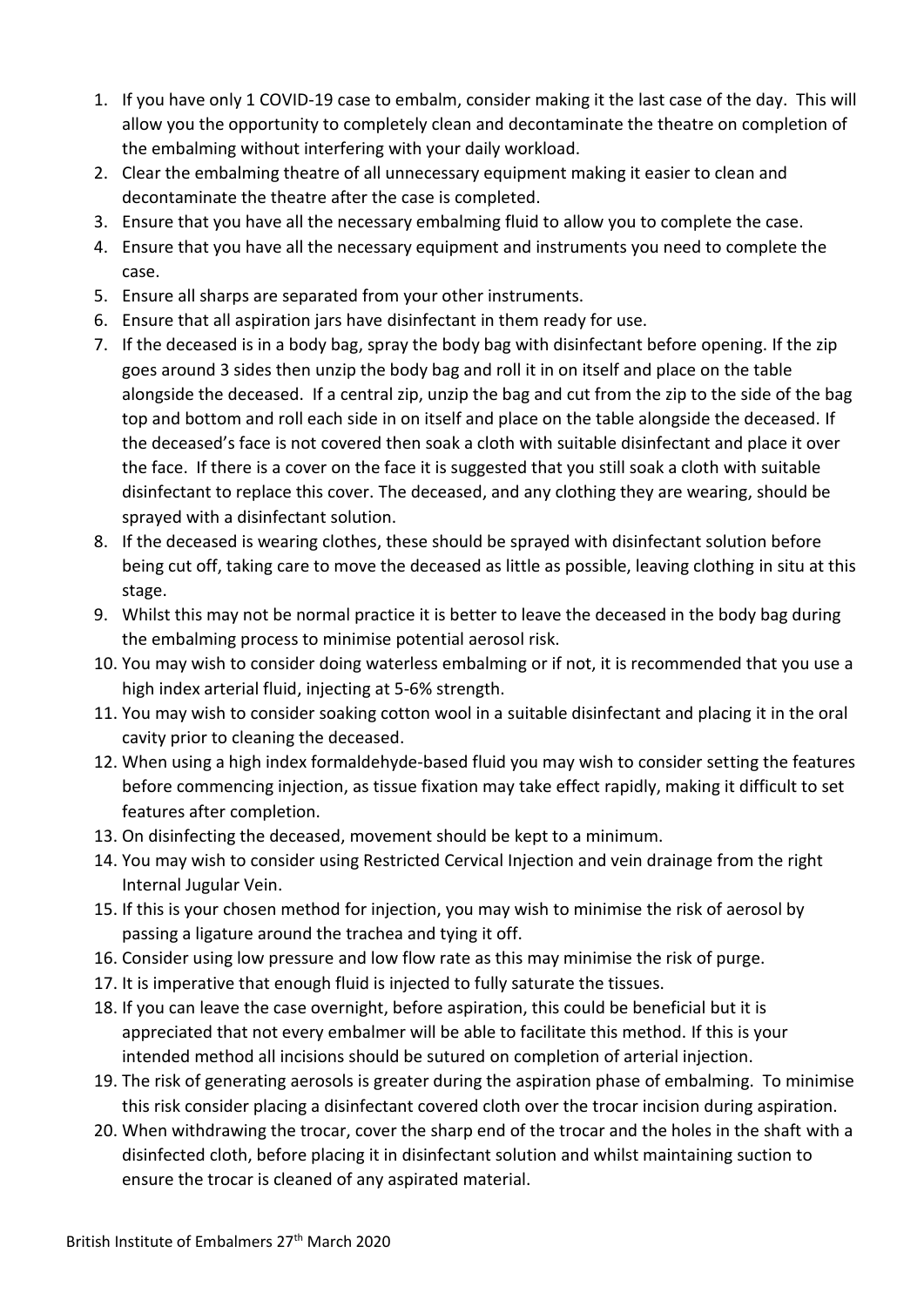- 1. If you have only 1 COVID-19 case to embalm, consider making it the last case of the day. This will allow you the opportunity to completely clean and decontaminate the theatre on completion of the embalming without interfering with your daily workload.
- 2. Clear the embalming theatre of all unnecessary equipment making it easier to clean and decontaminate the theatre after the case is completed.
- 3. Ensure that you have all the necessary embalming fluid to allow you to complete the case.
- 4. Ensure that you have all the necessary equipment and instruments you need to complete the case.
- 5. Ensure all sharps are separated from your other instruments.
- 6. Ensure that all aspiration jars have disinfectant in them ready for use.
- 7. If the deceased is in a body bag, spray the body bag with disinfectant before opening. If the zip goes around 3 sides then unzip the body bag and roll it in on itself and place on the table alongside the deceased. If a central zip, unzip the bag and cut from the zip to the side of the bag top and bottom and roll each side in on itself and place on the table alongside the deceased. If the deceased's face is not covered then soak a cloth with suitable disinfectant and place it over the face. If there is a cover on the face it is suggested that you still soak a cloth with suitable disinfectant to replace this cover. The deceased, and any clothing they are wearing, should be sprayed with a disinfectant solution.
- 8. If the deceased is wearing clothes, these should be sprayed with disinfectant solution before being cut off, taking care to move the deceased as little as possible, leaving clothing in situ at this stage.
- 9. Whilst this may not be normal practice it is better to leave the deceased in the body bag during the embalming process to minimise potential aerosol risk.
- 10. You may wish to consider doing waterless embalming or if not, it is recommended that you use a high index arterial fluid, injecting at 5-6% strength.
- 11. You may wish to consider soaking cotton wool in a suitable disinfectant and placing it in the oral cavity prior to cleaning the deceased.
- 12. When using a high index formaldehyde-based fluid you may wish to consider setting the features before commencing injection, as tissue fixation may take effect rapidly, making it difficult to set features after completion.
- 13. On disinfecting the deceased, movement should be kept to a minimum.
- 14. You may wish to consider using Restricted Cervical Injection and vein drainage from the right Internal Jugular Vein.
- 15. If this is your chosen method for injection, you may wish to minimise the risk of aerosol by passing a ligature around the trachea and tying it off.
- 16. Consider using low pressure and low flow rate as this may minimise the risk of purge.
- 17. It is imperative that enough fluid is injected to fully saturate the tissues.
- 18. If you can leave the case overnight, before aspiration, this could be beneficial but it is appreciated that not every embalmer will be able to facilitate this method. If this is your intended method all incisions should be sutured on completion of arterial injection.
- 19. The risk of generating aerosols is greater during the aspiration phase of embalming. To minimise this risk consider placing a disinfectant covered cloth over the trocar incision during aspiration.
- 20. When withdrawing the trocar, cover the sharp end of the trocar and the holes in the shaft with a disinfected cloth, before placing it in disinfectant solution and whilst maintaining suction to ensure the trocar is cleaned of any aspirated material.